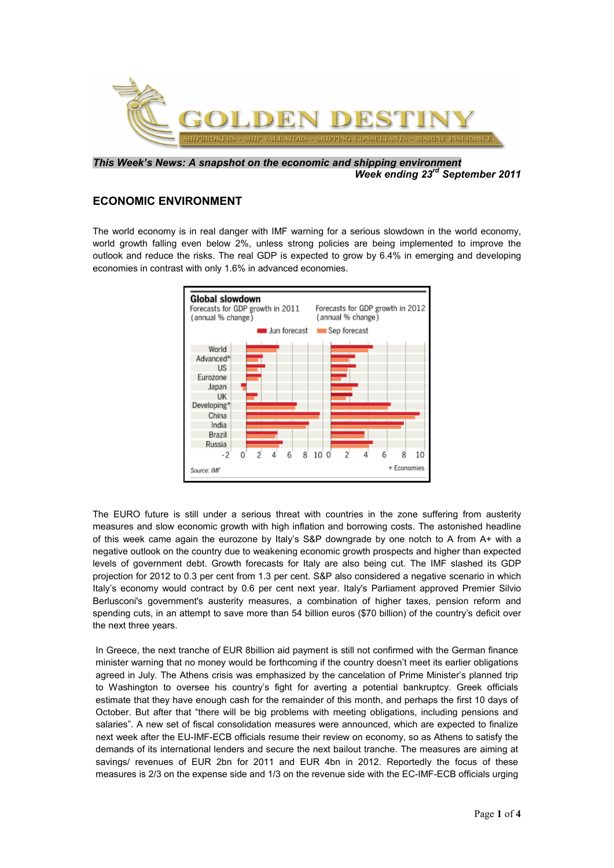

*This Week's News: A snapshot on the economic and shipping environment Week ending 23rd September 2011*

## **ECONOMIC ENVIRONMENT**

The world economy is in real danger with IMF warning for a serious slowdown in the world economy, world growth falling even below 2%, unless strong policies are being implemented to improve the outlook and reduce the risks. The real GDP is expected to grow by 6.4% in emerging and developing economies in contrast with only 1.6% in advanced economies.



The EURO future is still under a serious threat with countries in the zone suffering from austerity measures and slow economic growth with high inflation and borrowing costs. The astonished headline of this week came again the eurozone by Italy's S&P downgrade by one notch to A from A+ with a negative outlook on the country due to weakening economic growth prospects and higher than expected levels of government debt. Growth forecasts for Italy are also being cut. The IMF slashed its GDP projection for 2012 to 0.3 per cent from 1.3 per cent. S&P also considered a negative scenario in which Italy's economy would contract by 0.6 per cent next year. Italy's Parliament approved Premier Silvio Berlusconi's government's austerity measures, a combination of higher taxes, pension reform and spending cuts, in an attempt to save more than 54 billion euros (\$70 billion) of the country's deficit over the next three years.

In Greece, the next tranche of EUR 8billion aid payment is still not confirmed with the German finance minister warning that no money would be forthcoming if the country doesn't meet its earlier obligations agreed in July. The Athens crisis was emphasized by the cancelation of Prime Minister's planned trip to Washington to oversee his country's fight for averting a potential bankruptcy. Greek officials estimate that they have enough cash for the remainder of this month, and perhaps the first 10 days of October. But after that "there will be big problems with meeting obligations, including pensions and salaries". A new set of fiscal consolidation measures were announced, which are expected to finalize next week after the EU-IMF-ECB officials resume their review on economy, so as Athens to satisfy the demands of its international lenders and secure the next bailout tranche. The measures are aiming at savings/ revenues of EUR 2bn for 2011 and EUR 4bn in 2012. Reportedly the focus of these measures is 2/3 on the expense side and 1/3 on the revenue side with the EC-IMF-ECB officials urging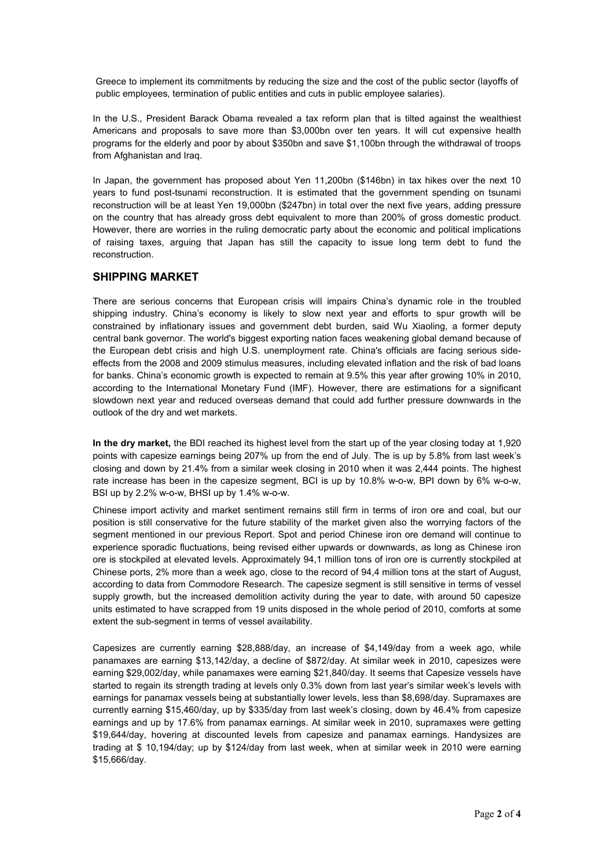Greece to implement its commitments by reducing the size and the cost of the public sector (layoffs of public employees, termination of public entities and cuts in public employee salaries).

In the U.S., President Barack Obama revealed a tax reform plan that is tilted against the wealthiest Americans and proposals to save more than \$3,000bn over ten years. It will cut expensive health programs for the elderly and poor by about \$350bn and save \$1,100bn through the withdrawal of troops from Afghanistan and Iraq.

In Japan, the government has proposed about Yen 11,200bn (\$146bn) in tax hikes over the next 10 years to fund post-tsunami reconstruction. It is estimated that the government spending on tsunami reconstruction will be at least Yen 19,000bn (\$247bn) in total over the next five years, adding pressure on the country that has already gross debt equivalent to more than 200% of gross domestic product. However, there are worries in the ruling democratic party about the economic and political implications of raising taxes, arguing that Japan has still the capacity to issue long term debt to fund the reconstruction.

## **SHIPPING MARKET**

There are serious concerns that European crisis will impairs China's dynamic role in the troubled shipping industry. China's economy is likely to slow next year and efforts to spur growth will be constrained by inflationary issues and government debt burden, said Wu Xiaoling, a former deputy central bank governor. The world's biggest exporting nation faces weakening global demand because of the European debt crisis and high U.S. unemployment rate. China's officials are facing serious sideeffects from the 2008 and 2009 stimulus measures, including elevated inflation and the risk of bad loans for banks. China's economic growth is expected to remain at 9.5% this year after growing 10% in 2010, according to the International Monetary Fund (IMF). However, there are estimations for a significant slowdown next year and reduced overseas demand that could add further pressure downwards in the outlook of the dry and wet markets.

**In the dry market,** the BDI reached its highest level from the start up of the year closing today at 1,920 points with capesize earnings being 207% up from the end of July. The is up by 5.8% from last week's closing and down by 21.4% from a similar week closing in 2010 when it was 2,444 points. The highest rate increase has been in the capesize segment, BCI is up by 10.8% w-o-w, BPI down by 6% w-o-w, BSI up by 2.2% w-o-w, BHSI up by 1.4% w-o-w.

Chinese import activity and market sentiment remains still firm in terms of iron ore and coal, but our position is still conservative for the future stability of the market given also the worrying factors of the segment mentioned in our previous Report. Spot and period Chinese iron ore demand will continue to experience sporadic fluctuations, being revised either upwards or downwards, as long as Chinese iron ore is stockpiled at elevated levels. Approximately 94,1 million tons of iron ore is currently stockpiled at Chinese ports, 2% more than a week ago, close to the record of 94,4 million tons at the start of August, according to data from Commodore Research. The capesize segment is still sensitive in terms of vessel supply growth, but the increased demolition activity during the year to date, with around 50 capesize units estimated to have scrapped from 19 units disposed in the whole period of 2010, comforts at some extent the sub-segment in terms of vessel availability.

Capesizes are currently earning \$28,888/day, an increase of \$4,149/day from a week ago, while panamaxes are earning \$13,142/day, a decline of \$872/day. At similar week in 2010, capesizes were earning \$29,002/day, while panamaxes were earning \$21,840/day. It seems that Capesize vessels have started to regain its strength trading at levels only 0.3% down from last year's similar week's levels with earnings for panamax vessels being at substantially lower levels, less than \$8,698/day. Supramaxes are currently earning \$15,460/day, up by \$335/day from last week's closing, down by 46.4% from capesize earnings and up by 17.6% from panamax earnings. At similar week in 2010, supramaxes were getting \$19,644/day, hovering at discounted levels from capesize and panamax earnings. Handysizes are trading at \$ 10,194/day; up by \$124/day from last week, when at similar week in 2010 were earning \$15,666/day.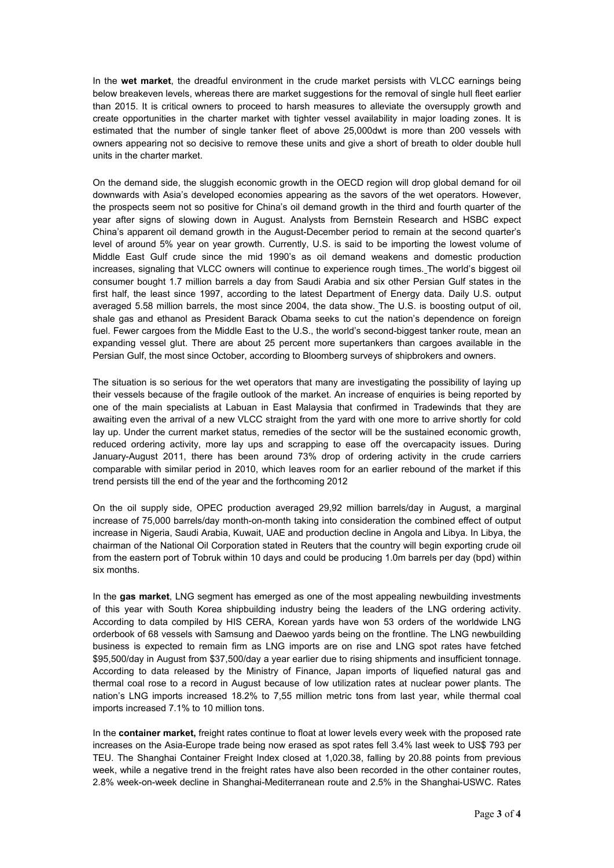In the **wet market**, the dreadful environment in the crude market persists with VLCC earnings being below breakeven levels, whereas there are market suggestions for the removal of single hull fleet earlier than 2015. It is critical owners to proceed to harsh measures to alleviate the oversupply growth and create opportunities in the charter market with tighter vessel availability in major loading zones. It is estimated that the number of single tanker fleet of above 25,000dwt is more than 200 vessels with owners appearing not so decisive to remove these units and give a short of breath to older double hull units in the charter market.

On the demand side, the sluggish economic growth in the OECD region will drop global demand for oil downwards with Asia's developed economies appearing as the savors of the wet operators. However, the prospects seem not so positive for China's oil demand growth in the third and fourth quarter of the year after signs of slowing down in August. Analysts from Bernstein Research and HSBC expect China's apparent oil demand growth in the August-December period to remain at the second quarter's level of around 5% year on year growth. Currently, U.S. is said to be importing the lowest volume of Middle East Gulf crude since the mid 1990's as oil demand weakens and domestic production increases, signaling that VLCC owners will continue to experience rough times. The world's biggest oil consumer bought 1.7 million barrels a day from Saudi Arabia and six other Persian Gulf states in the first half, the least since 1997, according to the latest Department of Energy data. Daily U.S. output averaged 5.58 million barrels, the most since 2004, the data show. The U.S. is boosting output of oil, shale gas and ethanol as President Barack Obama seeks to cut the nation's dependence on foreign fuel. Fewer cargoes from the Middle East to the U.S., the world's second-biggest tanker route, mean an expanding vessel glut. There are about 25 percent more supertankers than cargoes available in the Persian Gulf, the most since October, according to Bloomberg surveys of shipbrokers and owners.

The situation is so serious for the wet operators that many are investigating the possibility of laying up their vessels because of the fragile outlook of the market. An increase of enquiries is being reported by one of the main specialists at Labuan in East Malaysia that confirmed in Tradewinds that they are awaiting even the arrival of a new VLCC straight from the yard with one more to arrive shortly for cold lay up. Under the current market status, remedies of the sector will be the sustained economic growth, reduced ordering activity, more lay ups and scrapping to ease off the overcapacity issues. During January-August 2011, there has been around 73% drop of ordering activity in the crude carriers comparable with similar period in 2010, which leaves room for an earlier rebound of the market if this trend persists till the end of the year and the forthcoming 2012

On the oil supply side, OPEC production averaged 29,92 million barrels/day in August, a marginal increase of 75,000 barrels/day month-on-month taking into consideration the combined effect of output increase in Nigeria, Saudi Arabia, Kuwait, UAE and production decline in Angola and Libya. In Libya, the chairman of the National Oil Corporation stated in Reuters that the country will begin exporting crude oil from the eastern port of Tobruk within 10 days and could be producing 1.0m barrels per day (bpd) within six months.

In the **gas market**, LNG segment has emerged as one of the most appealing newbuilding investments of this year with South Korea shipbuilding industry being the leaders of the LNG ordering activity. According to data compiled by HIS CERA, Korean yards have won 53 orders of the worldwide LNG orderbook of 68 vessels with Samsung and Daewoo yards being on the frontline. The LNG newbuilding business is expected to remain firm as LNG imports are on rise and LNG spot rates have fetched \$95,500/day in August from \$37,500/day a year earlier due to rising shipments and insufficient tonnage. According to data released by the Ministry of Finance, Japan imports of liquefied natural gas and thermal coal rose to a record in August because of low utilization rates at nuclear power plants. The nation's LNG imports increased 18.2% to 7,55 million metric tons from last year, while thermal coal imports increased 7.1% to 10 million tons.

In the **container market,** freight rates continue to float at lower levels every week with the proposed rate increases on the Asia-Europe trade being now erased as spot rates fell 3.4% last week to US\$ 793 per TEU. The Shanghai Container Freight Index closed at 1,020.38, falling by 20.88 points from previous week, while a negative trend in the freight rates have also been recorded in the other container routes, 2.8% week-on-week decline in Shanghai-Mediterranean route and 2.5% in the Shanghai-USWC. Rates